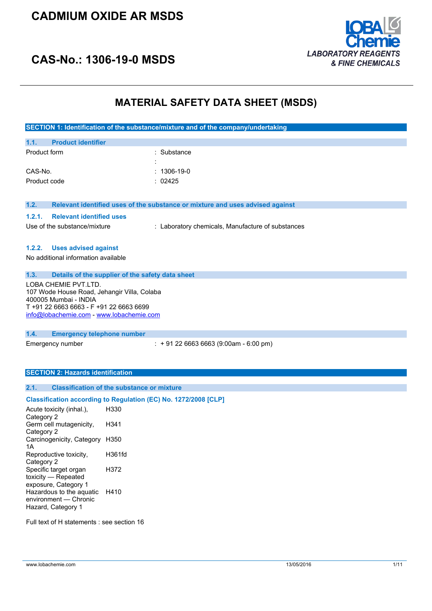### **CADMIUM OXIDE AR MSDS**



### **CAS-No.: 1306-19-0 MSDS**

### **MATERIAL SAFETY DATA SHEET (MSDS)**

|                                                                                                                                                                                     | SECTION 1: Identification of the substance/mixture and of the company/undertaking |  |
|-------------------------------------------------------------------------------------------------------------------------------------------------------------------------------------|-----------------------------------------------------------------------------------|--|
| 1.1.                                                                                                                                                                                | <b>Product identifier</b>                                                         |  |
| Product form                                                                                                                                                                        | Substance                                                                         |  |
| CAS-No.                                                                                                                                                                             | 1306-19-0                                                                         |  |
| Product code                                                                                                                                                                        | : 02425                                                                           |  |
| 1.2.                                                                                                                                                                                | Relevant identified uses of the substance or mixture and uses advised against     |  |
| 1.2.1.                                                                                                                                                                              | <b>Relevant identified uses</b>                                                   |  |
| Use of the substance/mixture                                                                                                                                                        | : Laboratory chemicals, Manufacture of substances                                 |  |
| 1.2.2.                                                                                                                                                                              | <b>Uses advised against</b>                                                       |  |
| No additional information available                                                                                                                                                 |                                                                                   |  |
| 1.3.                                                                                                                                                                                | Details of the supplier of the safety data sheet                                  |  |
| LOBA CHEMIE PVT.LTD.<br>107 Wode House Road, Jehangir Villa, Colaba<br>400005 Mumbai - INDIA<br>T +91 22 6663 6663 - F +91 22 6663 6699<br>info@lobachemie.com - www.lobachemie.com |                                                                                   |  |
| 1.4.                                                                                                                                                                                | <b>Emergency telephone number</b>                                                 |  |
| Emergency number                                                                                                                                                                    | $\div$ + 91 22 6663 6663 (9:00am - 6:00 pm)                                       |  |
|                                                                                                                                                                                     | <b>SECTION 2: Hazards identification</b>                                          |  |
| 2.1.                                                                                                                                                                                | <b>Classification of the substance or mixture</b>                                 |  |
|                                                                                                                                                                                     | Classification according to Regulation (EC) No. 1272/2008 [CLP]                   |  |
| Acute toxicity (inhal.),<br>Category 2<br>Corm coll mutagonicity                                                                                                                    | H330<br><b>LI241</b>                                                              |  |

Germ cell mutagenicity, Category 2 H341 Carcinogenicity, Category H350 1A Reproductive toxicity, Category 2 H361fd Specific target organ toxicity — Repeated exposure, Category 1 H372 Hazardous to the aquatic H410 environment — Chronic Hazard, Category 1

Full text of H statements : see section 16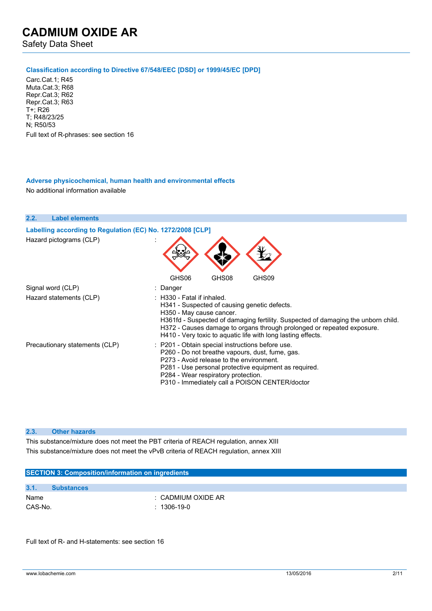Safety Data Sheet

#### **Classification according to Directive 67/548/EEC [DSD] or 1999/45/EC [DPD]**

Carc.Cat.1; R45 Muta.Cat.3; R68 Repr.Cat.3; R62 Repr.Cat.3; R63 T+; R26 T; R48/23/25 N; R50/53 Full text of R-phrases: see section 16

#### **Adverse physicochemical, human health and environmental effects** No additional information available



#### **2.3. Other hazards**

This substance/mixture does not meet the PBT criteria of REACH regulation, annex XIII This substance/mixture does not meet the vPvB criteria of REACH regulation, annex XIII

| <b>SECTION 3: Composition/information on ingredients</b> |                   |                               |
|----------------------------------------------------------|-------------------|-------------------------------|
|                                                          |                   |                               |
| 3.1.                                                     | <b>Substances</b> |                               |
| Name                                                     |                   | $\therefore$ CADMIUM OXIDE AR |
| CAS-No.                                                  |                   | $: 1306 - 19 - 0$             |
|                                                          |                   |                               |

Full text of R- and H-statements: see section 16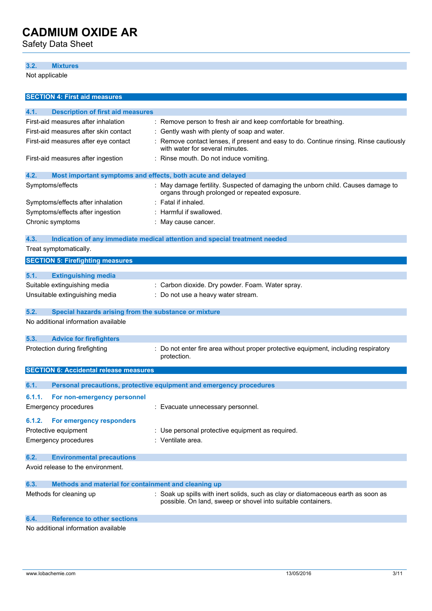Safety Data Sheet

### **3.2. Mixtures**

Not applicable

| <b>SECTION 4: First aid measures</b>                                |                                                                                                                                                   |
|---------------------------------------------------------------------|---------------------------------------------------------------------------------------------------------------------------------------------------|
| 4.1.<br><b>Description of first aid measures</b>                    |                                                                                                                                                   |
| First-aid measures after inhalation                                 | : Remove person to fresh air and keep comfortable for breathing.                                                                                  |
| First-aid measures after skin contact                               | Gently wash with plenty of soap and water.                                                                                                        |
| First-aid measures after eye contact                                | Remove contact lenses, if present and easy to do. Continue rinsing. Rinse cautiously<br>with water for several minutes.                           |
| First-aid measures after ingestion                                  | : Rinse mouth. Do not induce vomiting.                                                                                                            |
| 4.2.<br>Most important symptoms and effects, both acute and delayed |                                                                                                                                                   |
| Symptoms/effects                                                    | : May damage fertility. Suspected of damaging the unborn child. Causes damage to<br>organs through prolonged or repeated exposure.                |
| Symptoms/effects after inhalation                                   | : Fatal if inhaled.                                                                                                                               |
| Symptoms/effects after ingestion                                    | : Harmful if swallowed.                                                                                                                           |
| Chronic symptoms                                                    | : May cause cancer.                                                                                                                               |
| 4.3.                                                                | Indication of any immediate medical attention and special treatment needed                                                                        |
| Treat symptomatically.                                              |                                                                                                                                                   |
| <b>SECTION 5: Firefighting measures</b>                             |                                                                                                                                                   |
| <b>Extinguishing media</b><br>5.1.                                  |                                                                                                                                                   |
| Suitable extinguishing media                                        | : Carbon dioxide. Dry powder. Foam. Water spray.                                                                                                  |
| Unsuitable extinguishing media                                      | : Do not use a heavy water stream.                                                                                                                |
|                                                                     |                                                                                                                                                   |
| 5.2.<br>Special hazards arising from the substance or mixture       |                                                                                                                                                   |
| No additional information available                                 |                                                                                                                                                   |
| 5.3.<br><b>Advice for firefighters</b>                              |                                                                                                                                                   |
| Protection during firefighting                                      | : Do not enter fire area without proper protective equipment, including respiratory                                                               |
|                                                                     | protection.                                                                                                                                       |
| <b>SECTION 6: Accidental release measures</b>                       |                                                                                                                                                   |
| 6.1.                                                                | Personal precautions, protective equipment and emergency procedures                                                                               |
|                                                                     |                                                                                                                                                   |
| 6.1.1.<br>For non-emergency personnel                               |                                                                                                                                                   |
| <b>Emergency procedures</b>                                         | : Evacuate unnecessary personnel.                                                                                                                 |
| 6.1.2.<br>For emergency responders                                  |                                                                                                                                                   |
| Protective equipment                                                | : Use personal protective equipment as required.                                                                                                  |
| <b>Emergency procedures</b>                                         | : Ventilate area.                                                                                                                                 |
|                                                                     |                                                                                                                                                   |
| 6.2.<br><b>Environmental precautions</b>                            |                                                                                                                                                   |
| Avoid release to the environment.                                   |                                                                                                                                                   |
| 6.3.<br>Methods and material for containment and cleaning up        |                                                                                                                                                   |
| Methods for cleaning up                                             | : Soak up spills with inert solids, such as clay or diatomaceous earth as soon as<br>possible. On land, sweep or shovel into suitable containers. |
| <b>Reference to other sections</b><br>6.4.                          |                                                                                                                                                   |

No additional information available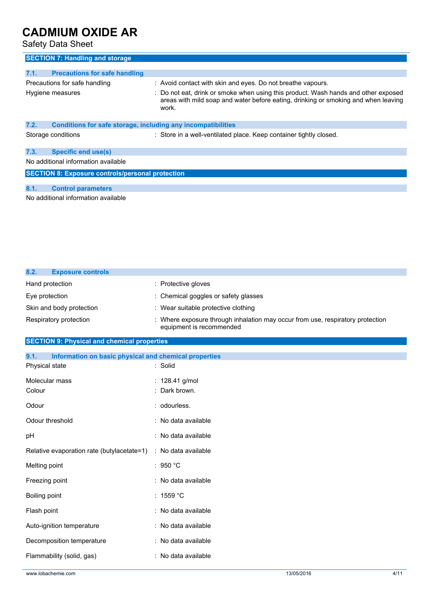Safety Data Sheet

| <b>SECTION 7: Handling and storage</b>                               |                                                                                                                                                                                   |  |
|----------------------------------------------------------------------|-----------------------------------------------------------------------------------------------------------------------------------------------------------------------------------|--|
|                                                                      |                                                                                                                                                                                   |  |
| <b>Precautions for safe handling</b><br>7.1.                         |                                                                                                                                                                                   |  |
| Precautions for safe handling                                        | : Avoid contact with skin and eyes. Do not breathe vapours.                                                                                                                       |  |
| Hygiene measures                                                     | : Do not eat, drink or smoke when using this product. Wash hands and other exposed<br>areas with mild soap and water before eating, drinking or smoking and when leaving<br>work. |  |
| 7.2.<br>Conditions for safe storage, including any incompatibilities |                                                                                                                                                                                   |  |
| Storage conditions                                                   | : Store in a well-ventilated place. Keep container tightly closed.                                                                                                                |  |
| <b>Specific end use(s)</b><br>7.3.                                   |                                                                                                                                                                                   |  |
| No additional information available                                  |                                                                                                                                                                                   |  |
| <b>SECTION 8: Exposure controls/personal protection</b>              |                                                                                                                                                                                   |  |
|                                                                      |                                                                                                                                                                                   |  |
| 8.1.<br><b>Control parameters</b>                                    |                                                                                                                                                                                   |  |
| No additional information available                                  |                                                                                                                                                                                   |  |

| 8.2.            | <b>Exposure controls</b> |                                                                                                            |
|-----------------|--------------------------|------------------------------------------------------------------------------------------------------------|
| Hand protection |                          | $:$ Protective gloves                                                                                      |
| Eve protection  |                          | : Chemical goggles or safety glasses                                                                       |
|                 | Skin and body protection | : Wear suitable protective clothing                                                                        |
|                 | Respiratory protection   | : Where exposure through inhalation may occur from use, respiratory protection<br>equipment is recommended |

### **SECTION 9: Physical and chemical properties**

| 9.1.<br>Information on basic physical and chemical properties |                                 |  |  |
|---------------------------------------------------------------|---------------------------------|--|--|
| Physical state                                                | : Solid                         |  |  |
| Molecular mass<br>Colour                                      | : 128.41 g/mol<br>: Dark brown. |  |  |
| Odour                                                         | : odourless.                    |  |  |
| Odour threshold                                               | : No data available             |  |  |
| pH                                                            | : No data available             |  |  |
| Relative evaporation rate (butylacetate=1)                    | : No data available             |  |  |
| Melting point                                                 | : 950 $^{\circ}$ C              |  |  |
| Freezing point                                                | : No data available             |  |  |
| Boiling point                                                 | : 1559 $^{\circ}$ C             |  |  |
| Flash point                                                   | : No data available             |  |  |
| Auto-ignition temperature                                     | : No data available             |  |  |
| Decomposition temperature                                     | : No data available             |  |  |
| Flammability (solid, gas)                                     | : No data available             |  |  |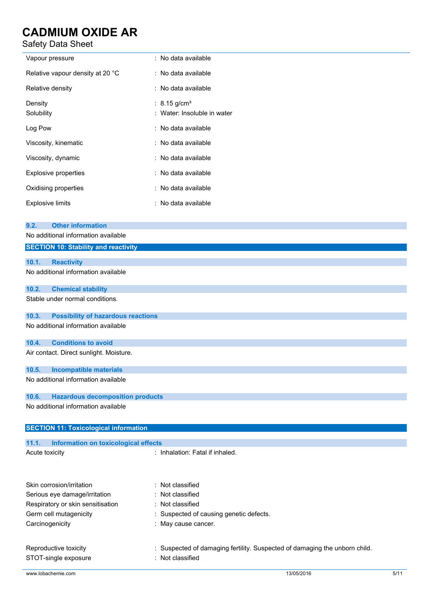#### Safety Data Sheet l.

| Safety Data Sheet                                                       |                                                           |  |
|-------------------------------------------------------------------------|-----------------------------------------------------------|--|
| Vapour pressure                                                         | : No data available                                       |  |
| Relative vapour density at 20 °C                                        | : No data available                                       |  |
| Relative density                                                        | : No data available                                       |  |
| Density<br>Solubility                                                   | : $8.15$ g/cm <sup>3</sup><br>: Water: Insoluble in water |  |
| Log Pow                                                                 | No data available                                         |  |
| Viscosity, kinematic                                                    | : No data available                                       |  |
| Viscosity, dynamic                                                      | No data available                                         |  |
| <b>Explosive properties</b>                                             | : No data available                                       |  |
| Oxidising properties                                                    | No data available                                         |  |
| <b>Explosive limits</b>                                                 | : No data available                                       |  |
| <b>Other information</b><br>9.2.<br>No additional information available |                                                           |  |
| <b>SECTION 10: Stability and reactivity</b>                             |                                                           |  |
| 10.1.<br><b>Reactivity</b>                                              |                                                           |  |
| No additional information available                                     |                                                           |  |
| 10.2.<br><b>Chemical stability</b>                                      |                                                           |  |
| Stable under normal conditions.                                         |                                                           |  |
| 10.3.<br><b>Possibility of hazardous reactions</b>                      |                                                           |  |
| No additional information available                                     |                                                           |  |
| <b>Conditions to avoid</b><br>10.4.                                     |                                                           |  |
| Air contact. Direct sunlight. Moisture.                                 |                                                           |  |
| <b>Incompatible materials</b><br>10.5.                                  |                                                           |  |
| No additional information available                                     |                                                           |  |
| 10.6.<br><b>Hazardous decomposition products</b>                        |                                                           |  |
| No additional information available                                     |                                                           |  |
| <b>SECTION 11: Toxicological information</b>                            |                                                           |  |
| 11.1.<br>Information on toxicological effects                           |                                                           |  |
| Acute toxicity                                                          | : Inhalation: Fatal if inhaled.                           |  |
|                                                                         |                                                           |  |

| Skin corrosion/irritation                     | : Not classified                                                                               |
|-----------------------------------------------|------------------------------------------------------------------------------------------------|
| Serious eye damage/irritation                 | : Not classified                                                                               |
| Respiratory or skin sensitisation             | : Not classified                                                                               |
| Germ cell mutagenicity                        | : Suspected of causing genetic defects.                                                        |
| Carcinogenicity                               | : May cause cancer.                                                                            |
| Reproductive toxicity<br>STOT-single exposure | : Suspected of damaging fertility. Suspected of damaging the unborn child.<br>: Not classified |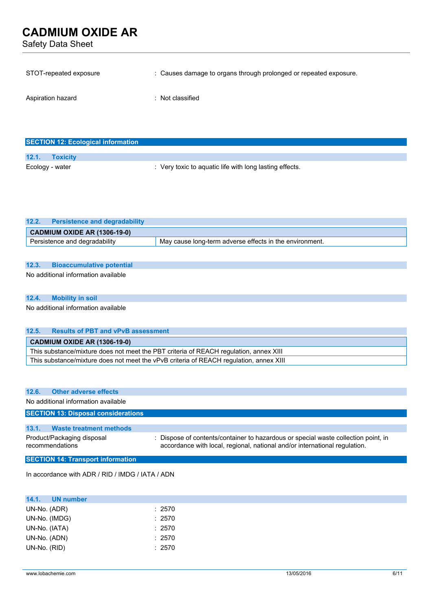Safety Data Sheet

| STOT-repeated exposure | : Causes damage to organs through prolonged or repeated exposure. |
|------------------------|-------------------------------------------------------------------|
| Aspiration hazard      | : Not classified                                                  |

| <b>SECTION 12: Ecological information</b> |                                                         |  |  |
|-------------------------------------------|---------------------------------------------------------|--|--|
|                                           |                                                         |  |  |
| 12.1.<br><b>Toxicity</b>                  |                                                         |  |  |
| Ecology - water                           | : Very toxic to aquatic life with long lasting effects. |  |  |

| 12.2. | Persistence and degradability |                                                         |
|-------|-------------------------------|---------------------------------------------------------|
|       | CADMIUM OXIDE AR (1306-19-0)  |                                                         |
|       | Persistence and degradability | May cause long-term adverse effects in the environment. |
|       |                               |                                                         |

#### **12.3. Bioaccumulative potential**

No additional information available

### **12.4. Mobility in soil**

No additional information available

| 12.5.                                                                                  | <b>Results of PBT and vPvB assessment</b> |  |
|----------------------------------------------------------------------------------------|-------------------------------------------|--|
|                                                                                        | <b>CADMIUM OXIDE AR (1306-19-0)</b>       |  |
| This substance/mixture does not meet the PBT criteria of REACH regulation, annex XIII  |                                           |  |
| This substance/mixture does not meet the vPvB criteria of REACH regulation, annex XIII |                                           |  |

| <b>Other adverse effects</b><br>12.6.         |                                                                                                                                                                  |
|-----------------------------------------------|------------------------------------------------------------------------------------------------------------------------------------------------------------------|
| No additional information available           |                                                                                                                                                                  |
| <b>SECTION 13: Disposal considerations</b>    |                                                                                                                                                                  |
|                                               |                                                                                                                                                                  |
| 13.1.<br><b>Waste treatment methods</b>       |                                                                                                                                                                  |
| Product/Packaging disposal<br>recommendations | : Dispose of contents/container to hazardous or special waste collection point, in<br>accordance with local, regional, national and/or international regulation. |
| <b>SECTION 14: Transport information</b>      |                                                                                                                                                                  |
|                                               |                                                                                                                                                                  |

In accordance with ADR / RID / IMDG / IATA / ADN

| 14.1.<br><b>UN number</b> |        |  |
|---------------------------|--------|--|
| UN-No. (ADR)              | : 2570 |  |
| UN-No. (IMDG)             | : 2570 |  |
| UN-No. (IATA)             | : 2570 |  |
| UN-No. (ADN)              | : 2570 |  |
| UN-No. (RID)              | : 2570 |  |
|                           |        |  |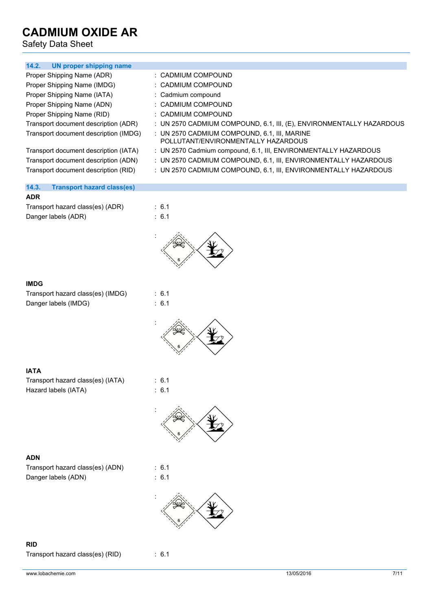Safety Data Sheet

| 14.2.<br><b>UN proper shipping name</b>                                                                                |                                                                                                                                                                                                       |
|------------------------------------------------------------------------------------------------------------------------|-------------------------------------------------------------------------------------------------------------------------------------------------------------------------------------------------------|
| Proper Shipping Name (ADR)<br>Proper Shipping Name (IMDG)<br>Proper Shipping Name (IATA)<br>Proper Shipping Name (ADN) | : CADMIUM COMPOUND<br>: CADMIUM COMPOUND<br>: Cadmium compound<br>CADMIUM COMPOUND                                                                                                                    |
| Proper Shipping Name (RID)<br>Transport document description (ADR)<br>Transport document description (IMDG)            | : CADMIUM COMPOUND<br>: UN 2570 CADMIUM COMPOUND, 6.1, III, (E), ENVIRONMENTALLY HAZARDOUS<br>: UN 2570 CADMIUM COMPOUND, 6.1, III, MARINE<br>POLLUTANT/ENVIRONMENTALLY HAZARDOUS                     |
| Transport document description (IATA)<br>Transport document description (ADN)<br>Transport document description (RID)  | : UN 2570 Cadmium compound, 6.1, III, ENVIRONMENTALLY HAZARDOUS<br>: UN 2570 CADMIUM COMPOUND, 6.1, III, ENVIRONMENTALLY HAZARDOUS<br>: UN 2570 CADMIUM COMPOUND, 6.1, III, ENVIRONMENTALLY HAZARDOUS |
| 14.3.<br><b>Transport hazard class(es)</b><br><b>ADR</b>                                                               |                                                                                                                                                                                                       |
| Transport hazard class(es) (ADR)<br>Danger labels (ADR)                                                                | : 6.1<br>: 6.1                                                                                                                                                                                        |
|                                                                                                                        |                                                                                                                                                                                                       |
| <b>IMDG</b>                                                                                                            |                                                                                                                                                                                                       |
| Transport hazard class(es) (IMDG)<br>Danger labels (IMDG)                                                              | : 6.1<br>: 6.1                                                                                                                                                                                        |
|                                                                                                                        |                                                                                                                                                                                                       |
| <b>IATA</b><br>Transport hazard class(es) (IATA)<br>Hazard labels (IATA)                                               | : 6.1<br>: 6.1                                                                                                                                                                                        |
|                                                                                                                        |                                                                                                                                                                                                       |
| <b>ADN</b><br>Transport hazard class(es) (ADN)                                                                         | : 6.1                                                                                                                                                                                                 |
| Danger labels (ADN)                                                                                                    | : 6.1                                                                                                                                                                                                 |
|                                                                                                                        |                                                                                                                                                                                                       |
| <b>RID</b>                                                                                                             |                                                                                                                                                                                                       |
| Transport hazard class(es) (RID)                                                                                       | : 6.1                                                                                                                                                                                                 |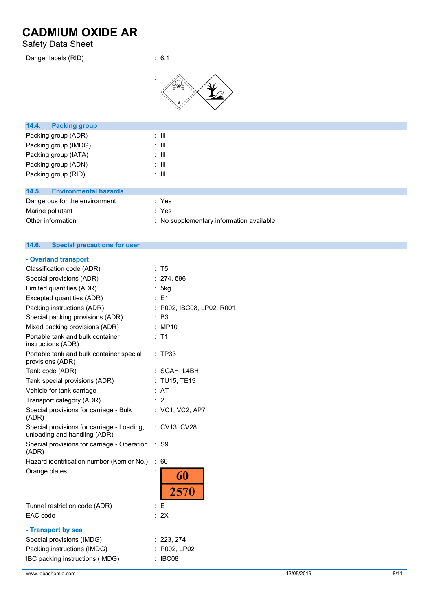### Safety Data Sheet

Danger labels (RID) : 6.1



| 14.4.<br><b>Packing group</b>         |       |  |  |
|---------------------------------------|-------|--|--|
| Packing group (ADR)                   | : III |  |  |
| Packing group (IMDG)                  | : III |  |  |
| Packing group (IATA)                  | : III |  |  |
| Packing group (ADN)                   | : III |  |  |
| Packing group (RID)                   | : III |  |  |
|                                       |       |  |  |
| 14.5.<br><b>Environmental hazards</b> |       |  |  |

| .                             |                                          |
|-------------------------------|------------------------------------------|
| Dangerous for the environment | : Yes                                    |
| Marine pollutant              | : Yes                                    |
| Other information             | : No supplementary information available |

#### **14.6. Special precautions for user**

| - Overland transport                                                                                              |                      |                                       |
|-------------------------------------------------------------------------------------------------------------------|----------------------|---------------------------------------|
| Classification code (ADR)                                                                                         |                      | : T5                                  |
| Special provisions (ADR)                                                                                          |                      | : 274,596                             |
| Limited quantities (ADR)                                                                                          |                      | 5kg                                   |
| Excepted quantities (ADR)                                                                                         |                      | E1                                    |
| Packing instructions (ADR)                                                                                        |                      | : P002, IBC08, LP02, R001             |
| Special packing provisions (ADR)                                                                                  |                      | B3                                    |
| Mixed packing provisions (ADR)                                                                                    |                      | : MP10                                |
| Portable tank and bulk container<br>instructions (ADR)                                                            |                      | $:$ T1                                |
| Portable tank and bulk container special<br>provisions (ADR)                                                      |                      | TP33                                  |
| Tank code (ADR)                                                                                                   |                      | : SGAH, L4BH                          |
| Tank special provisions (ADR)                                                                                     |                      | TU15, TE19                            |
| Vehicle for tank carriage                                                                                         |                      | : AT                                  |
| Transport category (ADR)                                                                                          |                      | : 2                                   |
| Special provisions for carriage - Bulk<br>(ADR)                                                                   |                      | : VC1, VC2, AP7                       |
| Special provisions for carriage - Loading,<br>unloading and handling (ADR)                                        |                      | : CV13, CV28                          |
| Special provisions for carriage - Operation<br>(ADR)                                                              |                      | $:$ S9                                |
| Hazard identification number (Kemler No.)                                                                         | ÷.                   | 60                                    |
| Orange plates                                                                                                     | $\ddot{\phantom{a}}$ | 60<br>2570                            |
| Tunnel restriction code (ADR)                                                                                     |                      | : E                                   |
| EAC code                                                                                                          |                      | : 2X                                  |
| - Transport by sea<br>Special provisions (IMDG)<br>Packing instructions (IMDG)<br>IBC packing instructions (IMDG) |                      | : 223, 274<br>: P002, LP02<br>: IBC08 |
|                                                                                                                   |                      |                                       |

www.lobachemie.com 8/11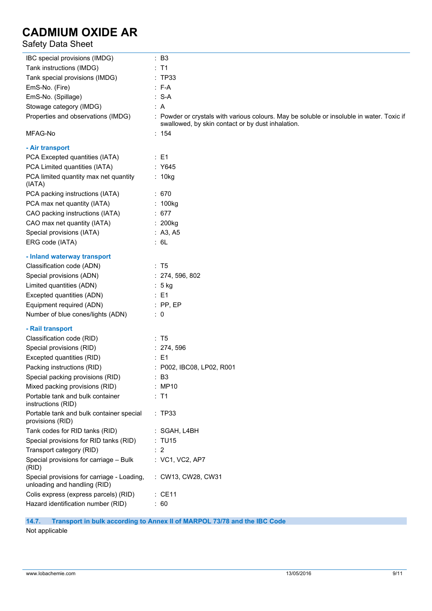### Safety Data Sheet

| IBC special provisions (IMDG)                                              | $\therefore$ B3                                                                                                                                |
|----------------------------------------------------------------------------|------------------------------------------------------------------------------------------------------------------------------------------------|
| Tank instructions (IMDG)                                                   | : T1                                                                                                                                           |
| Tank special provisions (IMDG)                                             | : TP33                                                                                                                                         |
| EmS-No. (Fire)                                                             | $: F-A$                                                                                                                                        |
| EmS-No. (Spillage)                                                         | $: S-A$                                                                                                                                        |
| Stowage category (IMDG)                                                    | : A                                                                                                                                            |
| Properties and observations (IMDG)                                         | : Powder or crystals with various colours. May be soluble or insoluble in water. Toxic if<br>swallowed, by skin contact or by dust inhalation. |
| MFAG-No                                                                    | : 154                                                                                                                                          |
| - Air transport                                                            |                                                                                                                                                |
| PCA Excepted quantities (IATA)                                             | $\therefore$ E1                                                                                                                                |
| PCA Limited quantities (IATA)                                              | : Y645                                                                                                                                         |
| PCA limited quantity max net quantity<br>(IATA)                            | : 10kg                                                                                                                                         |
| PCA packing instructions (IATA)                                            | :670                                                                                                                                           |
| PCA max net quantity (IATA)                                                | : 100kg                                                                                                                                        |
| CAO packing instructions (IATA)                                            | : 677                                                                                                                                          |
| CAO max net quantity (IATA)                                                | : 200kg                                                                                                                                        |
| Special provisions (IATA)                                                  | : A3, A5                                                                                                                                       |
| ERG code (IATA)                                                            | : 6L                                                                                                                                           |
| - Inland waterway transport                                                |                                                                                                                                                |
| Classification code (ADN)                                                  | : T5                                                                                                                                           |
| Special provisions (ADN)                                                   | : 274, 596, 802                                                                                                                                |
| Limited quantities (ADN)                                                   | $: 5$ kg                                                                                                                                       |
| Excepted quantities (ADN)                                                  | $\therefore$ E1                                                                                                                                |
| Equipment required (ADN)                                                   | $:$ PP, EP                                                                                                                                     |
| Number of blue cones/lights (ADN)                                          | $\therefore$ 0                                                                                                                                 |
| - Rail transport                                                           |                                                                                                                                                |
| Classification code (RID)                                                  | : T5                                                                                                                                           |
| Special provisions (RID)                                                   | : 274, 596                                                                                                                                     |
| Excepted quantities (RID)                                                  | $\therefore$ E1                                                                                                                                |
| Packing instructions (RID)                                                 | : P002, IBC08, LP02, R001                                                                                                                      |
| Special packing provisions (RID)                                           | $\therefore$ B3                                                                                                                                |
| Mixed packing provisions (RID)                                             | : MP10                                                                                                                                         |
| Portable tank and bulk container<br>instructions (RID)                     | $:$ T1                                                                                                                                         |
| Portable tank and bulk container special<br>provisions (RID)               | :TP33                                                                                                                                          |
| Tank codes for RID tanks (RID)                                             | : SGAH, L4BH                                                                                                                                   |
| Special provisions for RID tanks (RID)                                     | : TU15                                                                                                                                         |
| Transport category (RID)                                                   | : 2                                                                                                                                            |
| Special provisions for carriage - Bulk<br>(RID)                            | : VC1, VC2, AP7                                                                                                                                |
| Special provisions for carriage - Loading,<br>unloading and handling (RID) | : CW13, CW28, CW31                                                                                                                             |
| Colis express (express parcels) (RID)                                      | $:$ CE11                                                                                                                                       |
| Hazard identification number (RID)                                         | : 60                                                                                                                                           |
|                                                                            |                                                                                                                                                |

### **14.7. Transport in bulk according to Annex II of MARPOL 73/78 and the IBC Code**

Not applicable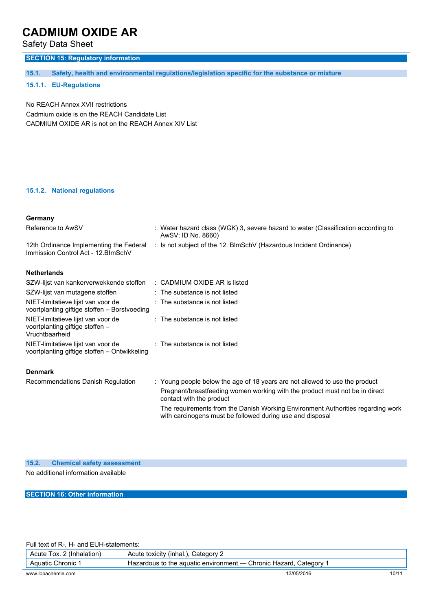Safety Data Sheet

### **SECTION 15: Regulatory information**

**15.1. Safety, health and environmental regulations/legislation specific for the substance or mixture**

### **15.1.1. EU-Regulations**

No REACH Annex XVII restrictions Cadmium oxide is on the REACH Candidate List CADMIUM OXIDE AR is not on the REACH Annex XIV List

#### **15.1.2. National regulations**

| Germany                                                                                 |                                                                                                                                              |
|-----------------------------------------------------------------------------------------|----------------------------------------------------------------------------------------------------------------------------------------------|
| Reference to AwSV                                                                       | : Water hazard class (WGK) 3, severe hazard to water (Classification according to<br>AwSV; ID No. 8660)                                      |
| 12th Ordinance Implementing the Federal<br>Immission Control Act - 12. BlmSchV          | : Is not subject of the 12. BlmSchV (Hazardous Incident Ordinance)                                                                           |
| <b>Netherlands</b>                                                                      |                                                                                                                                              |
| SZW-lijst van kankerverwekkende stoffen                                                 | : CADMIUM OXIDE AR is listed                                                                                                                 |
| SZW-lijst van mutagene stoffen                                                          | $:$ The substance is not listed                                                                                                              |
| NIET-limitatieve lijst van voor de<br>voortplanting giftige stoffen - Borstvoeding      | : The substance is not listed                                                                                                                |
| NIET-limitatieve lijst van voor de<br>voortplanting giftige stoffen -<br>Vruchtbaarheid | : The substance is not listed                                                                                                                |
| NIET-limitatieve lijst van voor de<br>voortplanting giftige stoffen - Ontwikkeling      | : The substance is not listed                                                                                                                |
| <b>Denmark</b>                                                                          |                                                                                                                                              |
| Recommendations Danish Regulation                                                       | : Young people below the age of 18 years are not allowed to use the product                                                                  |
|                                                                                         | Pregnant/breastfeeding women working with the product must not be in direct<br>contact with the product                                      |
|                                                                                         | The requirements from the Danish Working Environment Authorities regarding work<br>with carcinogens must be followed during use and disposal |

#### **15.2. Chemical safety assessment**

No additional information available

**SECTION 16: Other information**

#### Full text of R-, H- and EUH-statements:

| Acute Tox. 2 (Inhalation) | Acute toxicity (inhal.), Category 2                             |       |
|---------------------------|-----------------------------------------------------------------|-------|
| Aquatic Chronic 1         | Hazardous to the aguatic environment — Chronic Hazard, Category |       |
| www.lobachemie.com        | 13/05/2016                                                      | 10/11 |